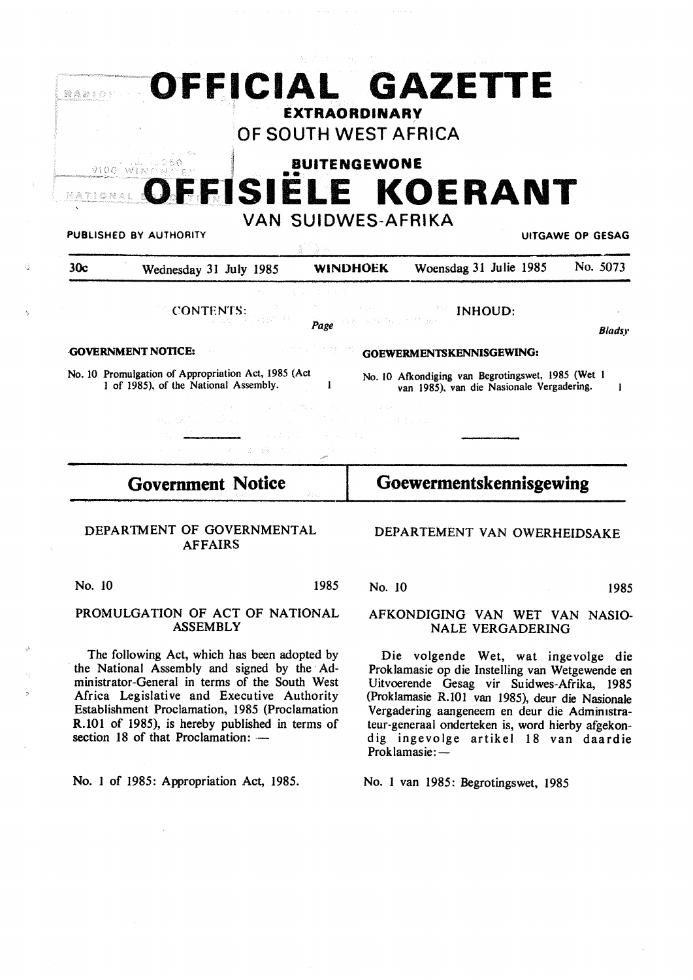|                                                                                                     | OFFICIAL GAZETTE                                                                               |
|-----------------------------------------------------------------------------------------------------|------------------------------------------------------------------------------------------------|
|                                                                                                     | <b>EXTRAORDINARY</b><br>OF SOUTH WEST AFRICA                                                   |
|                                                                                                     | <b>BUITENGEWONE</b>                                                                            |
|                                                                                                     | OFFISIELE KOERANT                                                                              |
| PUBLISHED BY AUTHORITY                                                                              | <b>VAN SUIDWES-AFRIKA</b><br><b>UITGAWE OP GESAG</b>                                           |
| 30c<br>Wednesday 31 July 1985                                                                       | No. 5073<br>Woensdag 31 Julie 1985<br><b>WINDHOEK</b>                                          |
| <b>CONTENTS:</b><br>Page                                                                            | <b>Example INHOUD:</b><br>CASTRON CONTROL AND RES<br><b>Bladsy</b>                             |
| <b>GOVERNMENT NOTICE:</b>                                                                           | GOEWERMENTSKENNISGEWING:                                                                       |
| No. 10 Promulgation of Appropriation Act, 1985 (Act)<br>1 of 1985), of the National Assembly.<br>-1 | No. 10 Afkondiging van Begrotingswet, 1985 (Wet 1<br>van 1985), van die Nasionale Vergadering. |
| アンディー サイト・アイ しげかぶ スカード・マネージ す<br>20. 그런 사이트 사이트 Hotel Hotel<br>(1) は、たるこの数 にんずい<br>in a sta         | サービス はいしょ 株式会社                                                                                 |
| Goewermentskennisgewing<br><b>Government Notice</b>                                                 |                                                                                                |

#### DEPARTMENT OF GOVERNMENTAL AFFAIRS

No. 10 1985

#### **PROMULGATION OF ACT** OF **NATIONAL ASSEMBLY**

The following Act, which has been adopted by the National Assembly and signed by the Administrator-General in terms of the South West Africa Legislative and Executive Authority Establishment Proclamation, 1985 (Proclamation R.101 of 1985), is hereby published in terms of section 18 of that Proclamation: -

**No.** I of 1985: Appropriation Act, 1985.

No. 10 1985

#### AFKONDIGING VAN WET VAN NASIO-NALE VERGADERING

DEPARTEMENT VAN OWERHEIDSAKE

Die volgende Wet, wat ingevolge die Proklamasie op die Instelling van Wetgewende en Uitvoerende Gesag vir Suidwes-Afrika, 1985 (Proklamasie R.101 van 1985), deur die Nasionale Vergadering aangeneem en deur die Admimstrateur-generaal onderteken is, word hierby afgekond ig ingevolge artikel 18 van daardie Proklamasie:-

No. I van 1985: Begrotingswet, 1985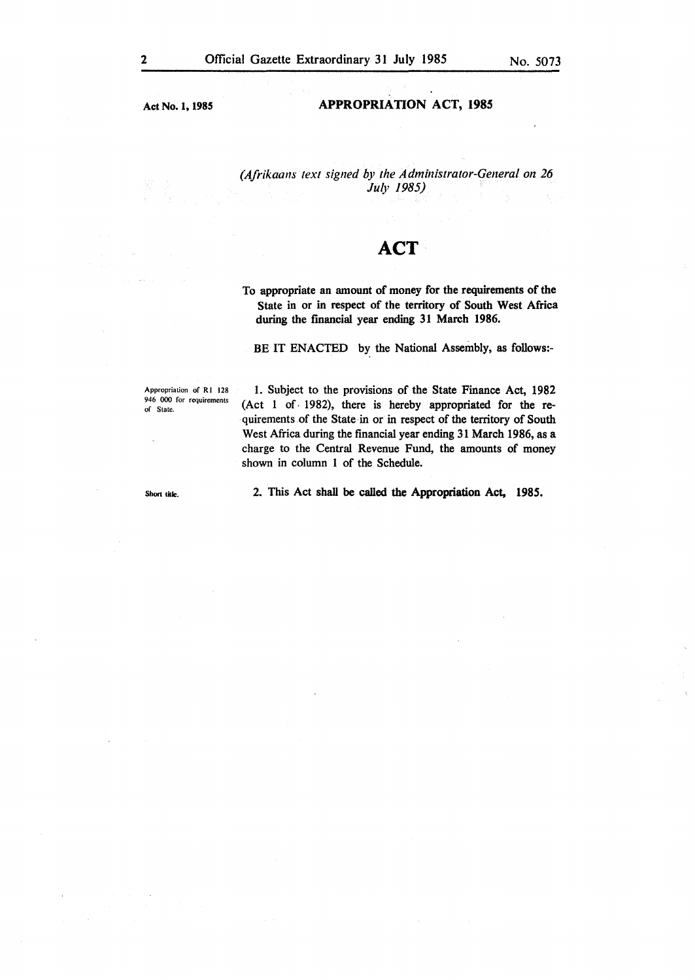Act No. 1, **1985** 

#### **APPROPRIATION** ACT, **1985**

*(Afrikaans text signed by the Administrator-General on 26 July 1985)* 

# **ACT**

To appropriate an amount of money for the requirements of the State in or in respect of the territory of South West Africa during the financial year ending 31 March 1986.

BE IT ENACTED by the National Assembly, as follows:-

Appropriation of RI 128 946 000 for requirements of State.

I. Subject to the provisions of the State Finance Act, 1982 (Act 1 of  $-1982$ ), there is hereby appropriated for the requirements of the State in or in respect of the territory of South West Africa during the financial year ending 31 March 1986, as a charge to the Central Revenue Fund, the amounts of money shown in column 1 of the Schedule.

Short title.

2. This Act shall be called the Appropriation Act, 1985.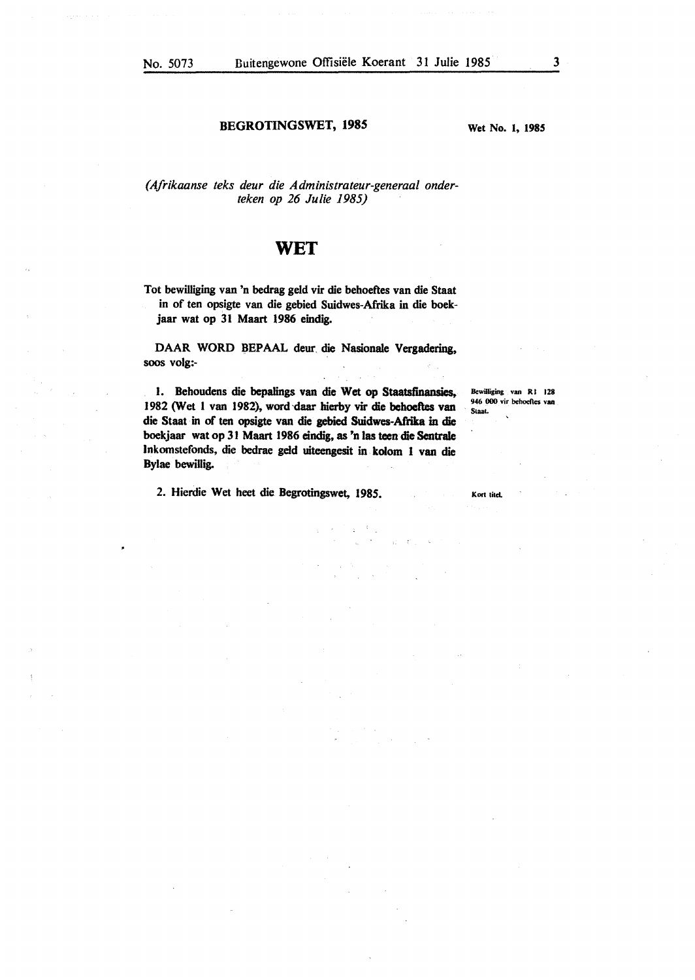#### **BEGROTINGSWET, 1985**

**Wet No. 1, 1985** 

*(Afrikaanse teks deur die Administrateur-generaal onderteken op 26 Julie 1985)* 

### **WET**

Tot bewilliging van 'n bedrag geld vir die behoeftes van die Staat in of ten opsigte van die gebied Suidwes-Afrika in die boekjaar wat op 31 Maart 1986 eindig.

DAAR WORD BEPAAL deur. die Nasionale **Vergadering,**  soos volg:-

I. Behoudens die bepalings van die Wet op Staatsfinansies, 1982 (Wet 1 van 1982), word daar hierby vir die behoeftes van die Staal in of ten opsigte van die gebied Suidwes-Afrika in die boekjaar wat op 31 Maart 1986 eindig, as 'n las teen die Sentrale lnkomstefonds, die bedrae geld uiteengesit in kolom I van die Bylae bewillig.

2. Hierdie Wet beet die Begrotingswet, 1985.

Bewilliging van RI 128 946 000 vir behoeftes van Staal.

Kort titel.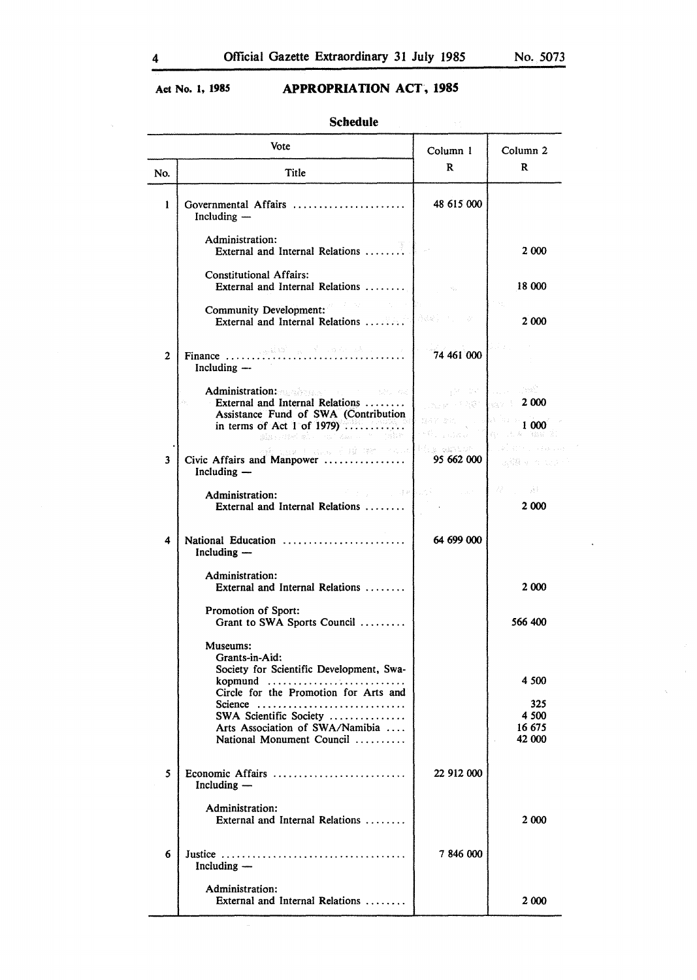# **Act No. 1, 1985 APPROPRIATION ACT, 1985**

Schedule

|              | Vote                                                                                                                                                                                                                                                                                                                                            | Column 1                                                                                                            | Column <sub>2</sub>               |
|--------------|-------------------------------------------------------------------------------------------------------------------------------------------------------------------------------------------------------------------------------------------------------------------------------------------------------------------------------------------------|---------------------------------------------------------------------------------------------------------------------|-----------------------------------|
| No.          | Title                                                                                                                                                                                                                                                                                                                                           | R                                                                                                                   | R                                 |
| 1            | Governmental Affairs<br>Including -                                                                                                                                                                                                                                                                                                             | 48 615 000                                                                                                          |                                   |
|              | Administration:<br>External and Internal Relations                                                                                                                                                                                                                                                                                              |                                                                                                                     | 2 000                             |
|              | <b>Constitutional Affairs:</b><br>External and Internal Relations                                                                                                                                                                                                                                                                               |                                                                                                                     | 18 000                            |
|              | <b>Community Development:</b><br>External and Internal Relations                                                                                                                                                                                                                                                                                | <b>Louisian State</b><br>- St                                                                                       | 2 000                             |
| $\mathbf{2}$ | Including --                                                                                                                                                                                                                                                                                                                                    | 74 461 000                                                                                                          |                                   |
|              | Administration: All and the contract of the contract of the contract of the contract of the contract of the contract of the contract of the contract of the contract of the contract of the contract of the contract of the co<br>External and Internal Relations<br>Assistance Fund of SWA (Contribution<br>in terms of Act 1 of 1979) $\dots$ | <b>DECEMBER 1: 2000</b><br>$\mathbb{R}^{3\times 2\times 2\times 1}$ , which is $\mathbb{R}^{1\times 10\times 1000}$ | $\sim 10^{11}$ and $\sim 10^{11}$ |
|              | six, and she can say a resident                                                                                                                                                                                                                                                                                                                 | <b>SARA CONSTRUCT</b>                                                                                               | Konstantin (Ka                    |
| 3            | ak has included it and some that waiters<br>Civic Affairs and Manpower<br>Including $-$                                                                                                                                                                                                                                                         | 95 662 000                                                                                                          | 法職 そうこう                           |
|              | 医心包 医心包 医心包 建氯化合物<br>Administration:<br>External and Internal Relations                                                                                                                                                                                                                                                                         | <b>Contract</b>                                                                                                     | 22 3 34<br>2 000                  |
| 4            | National Education<br>Including -                                                                                                                                                                                                                                                                                                               | 64 699 000                                                                                                          |                                   |
|              | Administration:<br>External and Internal Relations                                                                                                                                                                                                                                                                                              |                                                                                                                     | 2 000                             |
|              | Promotion of Sport:<br>Grant to SWA Sports Council                                                                                                                                                                                                                                                                                              |                                                                                                                     | 566 400                           |
|              | Museums:<br>Grants-in-Aid:<br>Society for Scientific Development, Swa-                                                                                                                                                                                                                                                                          |                                                                                                                     |                                   |
|              | kopmund<br>Circle for the Promotion for Arts and                                                                                                                                                                                                                                                                                                |                                                                                                                     | 4 500                             |
|              | Science $\ldots \ldots \ldots \ldots \ldots \ldots \ldots \ldots$                                                                                                                                                                                                                                                                               |                                                                                                                     | 325<br>4 500                      |
|              | SWA Scientific Society<br>Arts Association of SWA/Namibia                                                                                                                                                                                                                                                                                       |                                                                                                                     | 16 675                            |
|              | National Monument Council                                                                                                                                                                                                                                                                                                                       |                                                                                                                     | 42 000                            |
| 5            | Economic Affairs<br>Including —                                                                                                                                                                                                                                                                                                                 | 22 912 000                                                                                                          |                                   |
|              | Administration:<br>External and Internal Relations                                                                                                                                                                                                                                                                                              |                                                                                                                     | 2 000                             |
| 6            | Including —                                                                                                                                                                                                                                                                                                                                     | 7846000                                                                                                             |                                   |
|              | Administration:<br>External and Internal Relations                                                                                                                                                                                                                                                                                              |                                                                                                                     | 2 000                             |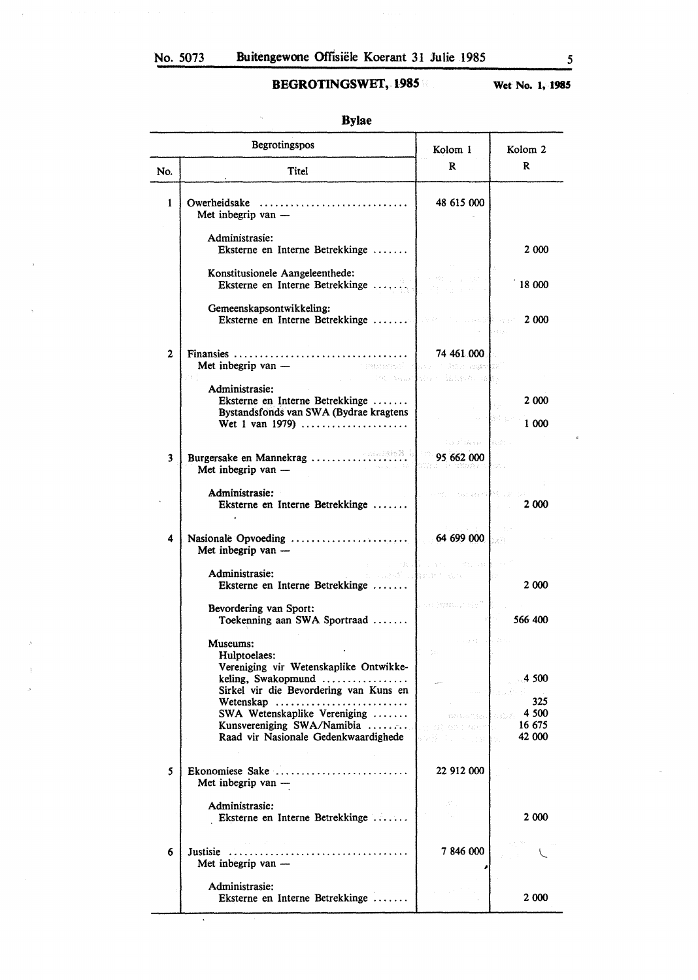Ţ,

Ň,

# **BEGROTINGSWEf, 1985**

**Wet No. l, 1985** 

|                         | Begrotingspos                                                                                                  | Kolom 1                                                 | Kolom <sub>2</sub>                         |
|-------------------------|----------------------------------------------------------------------------------------------------------------|---------------------------------------------------------|--------------------------------------------|
| No.                     | <b>Titel</b>                                                                                                   | R                                                       | R                                          |
| $\mathbf{1}$            | Met inbegrip van -                                                                                             | 48 615 000                                              |                                            |
|                         | Administrasie:<br>Eksterne en Interne Betrekkinge                                                              |                                                         | 2 000                                      |
|                         | Konstitusionele Aangeleenthede:<br>Eksterne en Interne Betrekkinge                                             |                                                         | 18 000                                     |
|                         | Gemeenskapsontwikkeling:<br>Eksterne en Interne Betrekkinge                                                    | s substant and                                          | 2 000                                      |
| $\mathbf{2}$            | The Committee Assessed West Collective Committee                                                               | 74 461 000 1                                            |                                            |
|                         | Administrasie:<br>Eksterne en Interne Betrekkinge<br>Bystandsfonds van SWA (Bydrae kragtens<br>Wet 1 van 1979) |                                                         | 2 000<br>Bengel<br>1 000                   |
| $\overline{\mathbf{3}}$ | Met inbegrip van -                                                                                             | the Pitts of Board<br>95 662 000                        |                                            |
|                         | Administrasie:<br>Eksterne en Interne Betrekkinge<br>$\bullet$                                                 |                                                         | to a preference<br>2 000                   |
| 4                       | Met inbegrip van -                                                                                             |                                                         |                                            |
|                         | Administrasie:<br>Eksterne en Interne Betrekkinge                                                              | in malin va me<br>and a set of a support to support the | 2 000                                      |
|                         | Bevordering van Sport:<br>Toekenning aan SWA Sportraad                                                         | Louisvall, Se <sup>n</sup>                              | 566 400                                    |
|                         | Museums:<br>Hulptoelaes:<br>Vereniging vir Wetenskaplike Ontwikke-                                             | Q.                                                      |                                            |
|                         | keling, Swakopmund $\dots\dots\dots\dots\dots$<br>Sirkel vir die Bevordering van Kuns en<br>Wetenskap          |                                                         | 4 500<br>325                               |
|                         | SWA Wetenskaplike Vereniging<br>Raad vir Nasionale Gedenkwaardighede                                           | early the second has                                    | mentional estate 4 500<br>16 675<br>42 000 |
| 5                       | Ekonomiese Sake<br>Met inbegrip van -                                                                          | 22 912 000                                              |                                            |
|                         | Administrasie:<br>Eksterne en Interne Betrekkinge                                                              | W.                                                      | 2 000                                      |
| 6                       | Met inbegrip van -                                                                                             | 7846000                                                 |                                            |
|                         | Administrasie:<br>Eksterne en Interne Betrekkinge                                                              |                                                         | 2 000                                      |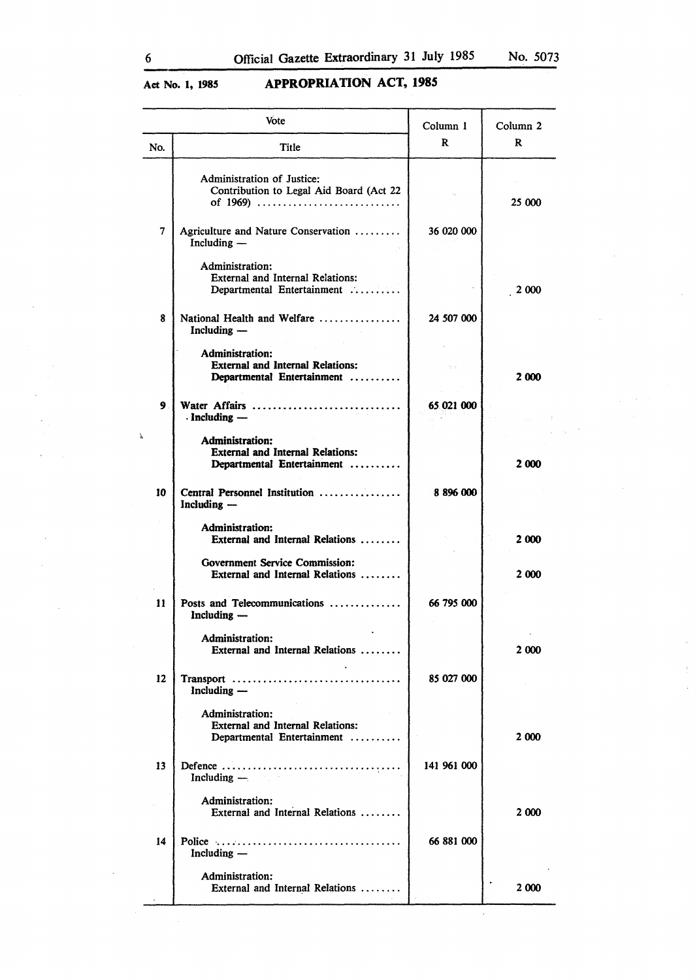# **Act No. 1, 1985 APPROPRIATION ACT, 1985**

|               | Vote                                                                                            | Column 1    | Column <sub>2</sub> |
|---------------|-------------------------------------------------------------------------------------------------|-------------|---------------------|
| No.           | Title                                                                                           | R           | R                   |
|               | Administration of Justice:<br>Contribution to Legal Aid Board (Act 22<br>of 1969)               |             | 25 000              |
| 7             | Agriculture and Nature Conservation<br>Including —                                              | 36 020 000  |                     |
|               | Administration:<br><b>External and Internal Relations:</b><br>Departmental Entertainment        |             | 2 000               |
| 8             | National Health and Welfare<br>Including —                                                      | 24 507 000  |                     |
|               | <b>Administration:</b><br><b>External and Internal Relations:</b><br>Departmental Entertainment |             | 2 000               |
| 9.            | Water Affairs<br>$\cdot$ Including $-$                                                          | 65.021 000  |                     |
|               | <b>Administration:</b><br><b>External and Internal Relations:</b><br>Departmental Entertainment |             | 2 000               |
| 10            | Central Personnel Institution<br>Including -                                                    | 8896000     |                     |
|               | Administration:<br>External and Internal Relations                                              |             | 2000                |
|               | <b>Government Service Commission:</b><br>External and Internal Relations                        |             | 2 000               |
| $\mathbf{11}$ | Posts and Telecommunications<br>Including -                                                     | 66 795 000  |                     |
|               | <b>Administration:</b><br>External and Internal Relations                                       |             | 2000                |
| 12            | Transport<br>Including —                                                                        | 85 027 000  |                     |
|               | Administration:<br><b>External and Internal Relations:</b><br>Departmental Entertainment        |             | 2 000               |
| 13            | Including $-\frac{1}{2}$                                                                        | 141 961 000 |                     |
|               | Administration:<br>External and Internal Relations                                              |             | 2 000               |
| 14            | Including —                                                                                     | 66 881 000  |                     |
|               | Administration:<br>External and Internal Relations                                              |             | 2000                |

 $\hat{\boldsymbol{\beta}}$ 

 $\frac{1}{\alpha}$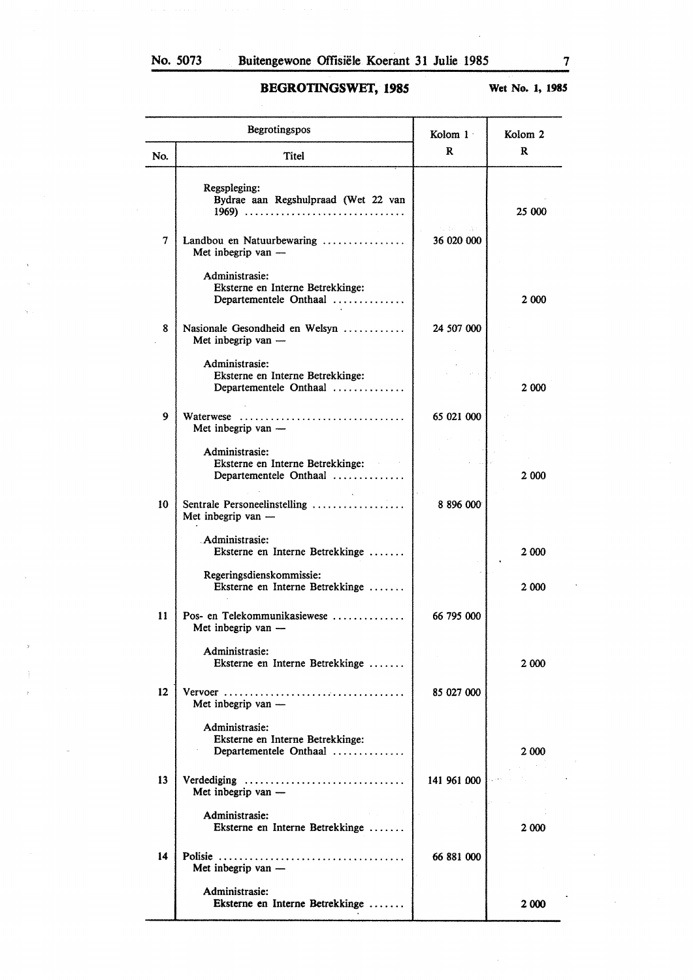# **BEGROTINGSWET, 1985**

**Wet No. 1, 1985** 

|     | Begrotingspos                                                                | Kolom 1    | Kolom <sub>2</sub> |
|-----|------------------------------------------------------------------------------|------------|--------------------|
| No. | Titel                                                                        | R          | R                  |
|     | Regspleging:<br>Bydrae aan Regshulpraad (Wet 22 van<br>1969)                 | つばん しゅぎ    | 25 000             |
| 7   | Landbou en Natuurbewaring<br>Met inbegrip van -                              | 36 020 000 |                    |
|     | Administrasie:<br>Eksterne en Interne Betrekkinge:<br>Departementele Onthaal |            | 2 000              |
| 8   | Nasionale Gesondheid en Welsyn<br>Met inbegrip van -                         | 24 507 000 |                    |
|     | Administrasie:<br>Eksterne en Interne Betrekkinge:<br>Departementele Onthaal |            | 2 0 0 0            |
| 9   | Waterwese<br>Met inbegrip van -                                              | 65 021 000 |                    |
|     | Administrasie:<br>Eksterne en Interne Betrekkinge:<br>Departementele Onthaal |            | 2 000              |
| 10  | Sentrale Personeelinstelling<br>Met inbegrip van -                           | 8 896 000  |                    |
|     | Administrasie:<br>Eksterne en Interne Betrekkinge                            |            | 2 000              |
|     | Regeringsdienskommissie:<br>Eksterne en Interne Betrekkinge                  |            | 2 000              |
| 11  | Pos- en Telekommunikasiewese<br>Met inbegrip van -                           | 66 795 000 |                    |
|     | Administrasie:<br>Eksterne en Interne Betrekkinge                            |            | 2 000              |
| 12  | Met inbegrip van -                                                           | 85 027 000 |                    |
|     | Administrasie:<br>Eksterne en Interne Betrekkinge:<br>Departementele Onthaal |            | 2 000              |
| 13  | Verdediging<br>Met inbegrip van -                                            | 141961000  |                    |
|     | Administrasie:<br>Eksterne en Interne Betrekkinge                            | 9 H J      | 2 000              |
| 14  | Met inbegrip van -                                                           | 66 881 000 |                    |
|     | Administrasie:<br>Eksterne en Interne Betrekkinge                            |            | 2 000              |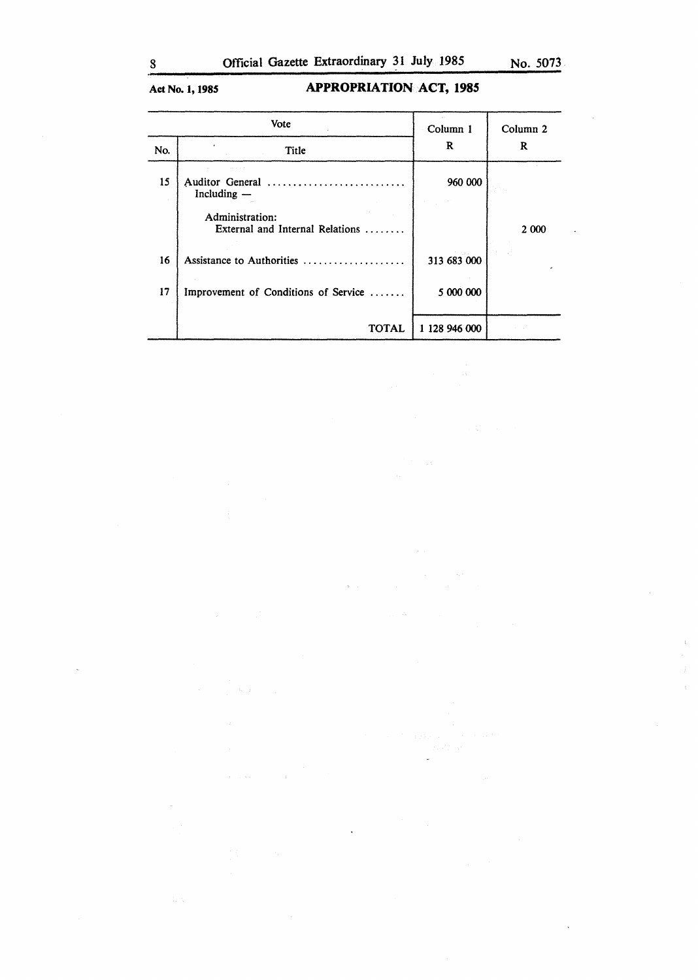# **Act No. 1, 1985 APPROPRIATION ACT, 1985**

|     | Vote                                               | Column 1      | Column 2 |
|-----|----------------------------------------------------|---------------|----------|
| No. | Title                                              | R             | R        |
| 15  | Auditor General<br>Including —                     | 960 000       |          |
|     | Administration:<br>External and Internal Relations |               | 2 000    |
| 16  | Assistance to Authorities                          | 313 683 000   |          |
| 17  | Improvement of Conditions of Service               | 5 000 000     |          |
|     | <b>TOTAL</b>                                       | 1 128 946 000 |          |